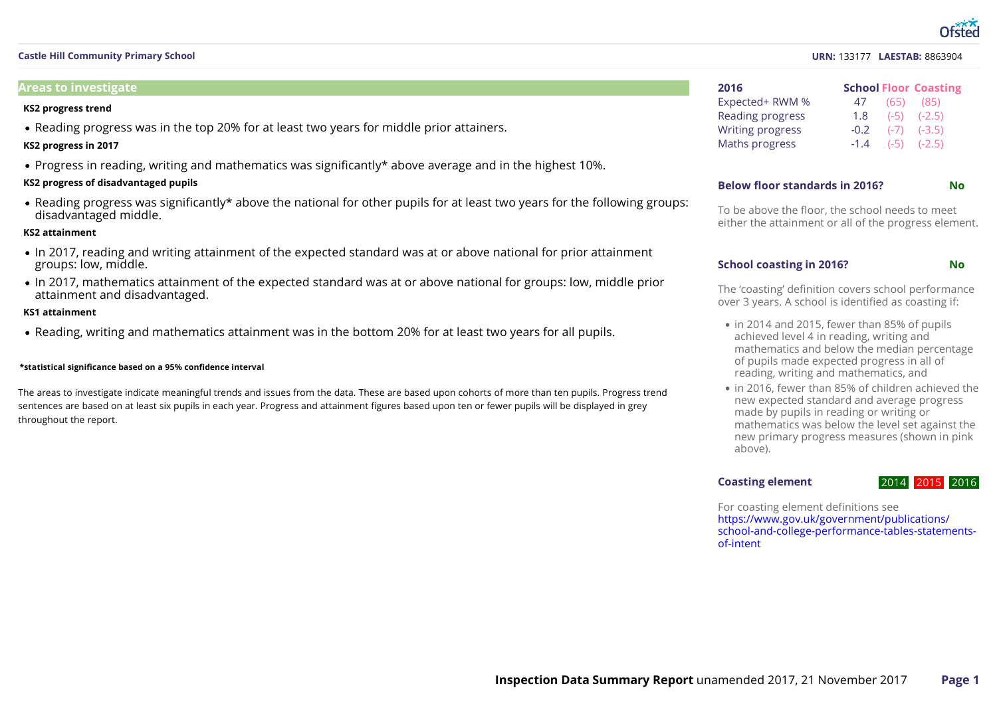#### **URN:** 133177 **LAESTAB:** 8863904

| 2016                    |        | <b>School Floor Coasting</b> |
|-------------------------|--------|------------------------------|
| Expected+ RWM %         | 47     | $(65)$ $(85)$                |
| Reading progress        | 1.8    | $(-5)$ $(-2.5)$              |
| <b>Writing progress</b> | $-0.2$ | $(-7)$ $(-3.5)$              |
| Maths progress          | $-1.4$ | $(-5)$ $(-2.5)$              |

#### **Below floor standards in 2016? No**

To be above the floor, the school needs to meet either the attainment or all of the progress element.

#### **School coasting in 2016? No**

The 'coasting' definition covers school performance over 3 years. A school is identified as coasting if:

- in 2014 and 2015, fewer than 85% of pupils achieved level 4 in reading, writing and mathematics and below the median percentage of pupils made expected progress in all of reading, writing and mathematics, and
- in 2016, fewer than 85% of children achieved the new expected standard and average progress made by pupils in reading or writing or mathematics was below the level set against the new primary progress measures (shown in pink above).

#### **Coasting element**

### 2014 2015 2016

For coasting element definitions see https://www.gov.uk/government/publications/ [school-and-college-performance-tables-statements-](https://www.gov.uk/government/publications/school-and-college-performance-tables-statements-of-intent) of-intent

### **Castle Hill Community Primary School**

#### **Areas to investigate**

#### **KS2 progress trend**

• Reading progress was in the top 20% for at least two years for middle prior attainers.

#### **KS2 progress in 2017**

Progress in reading, writing and mathematics was significantly\* above average and in the highest 10%.

#### **KS2 progress of disadvantaged pupils**

Reading progress was significantly\* above the national for other pupils for at least two years for the following groups: disadvantaged middle.

#### **KS2 attainment**

- In 2017, reading and writing attainment of the expected standard was at or above national for prior attainment groups: low, middle.
- In 2017, mathematics attainment of the expected standard was at or above national for groups: low, middle prior attainment and disadvantaged.

#### **KS1 attainment**

Reading, writing and mathematics attainment was in the bottom 20% for at least two years for all pupils.

#### **\*statistical significance based on a 95% confidence interval**

The areas to investigate indicate meaningful trends and issues from the data. These are based upon cohorts of more than ten pupils. Progress trend sentences are based on at least six pupils in each year. Progress and attainment figures based upon ten or fewer pupils will be displayed in grey throughout the report.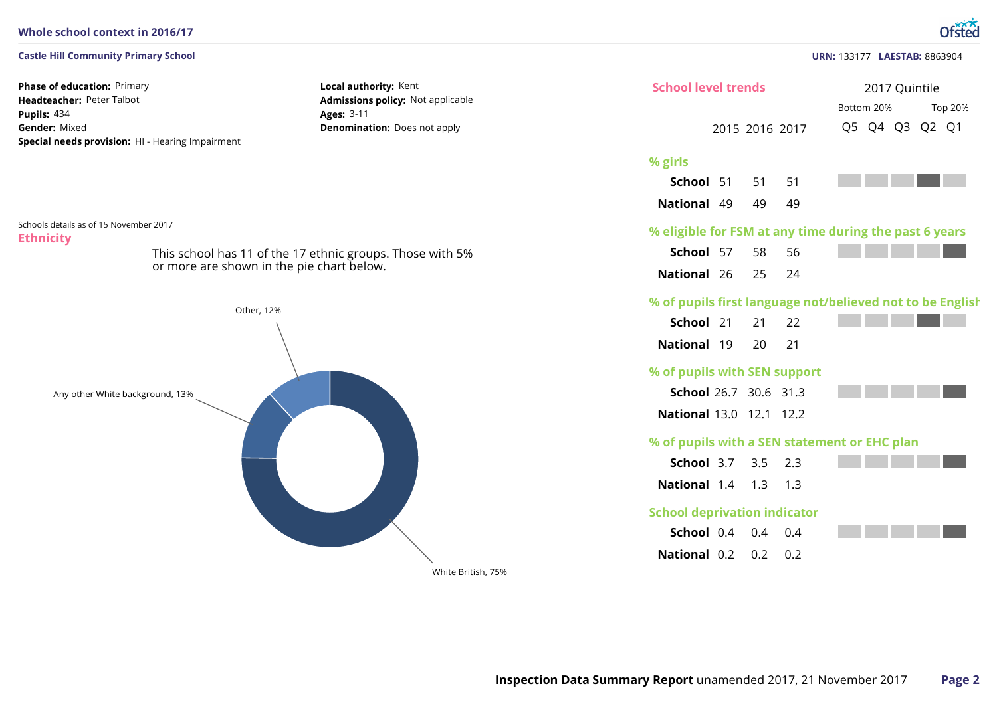#### **Whole school context in 2016/17**

#### **Castle Hill Community Primary School**

**Phase of education: Primary** Headteacher: Peter Talbot 434 **Pupils:** Gender: Mixed **Special needs provision:** HI - Hearing Impairment **Local authority:** Kent **Admissions policy:** Not applicable 3-11 **Ages: Denomination:** Does not apply

**Ethnicity** Schools details as of 15 November 2017



or more are shown in the pie chart below.

This school has 11 of the 17 ethnic groups. Those with 5%

**URN:** 133177 **LAESTAB:** 8863904 2017 Quintile 2015 2016 2017 **School** 51 51 51 **National** 49 49 49 **School** 57 58 56 **National** 26 25 24 **School** 21 21 22 **National** 19 20 21 **School** 26.7 30.6 31.3 **National** 13.0 12.1 12.2 **School** 3.7 3.5 2.3 **National** 1.4 1.3 1.3 **School** 0.4 0.4 0.4 **National** 0.2 0.2 0.2 Bottom 20% Top 20% Q5 Q4 Q3 Q2 Q1 **% girls % eligible for FSM at any time during the past 6 years % of pupils first language not/believed not to be English % of pupils with SEN support % of pupils with a SEN statement or EHC plan School deprivation indicator School level trends**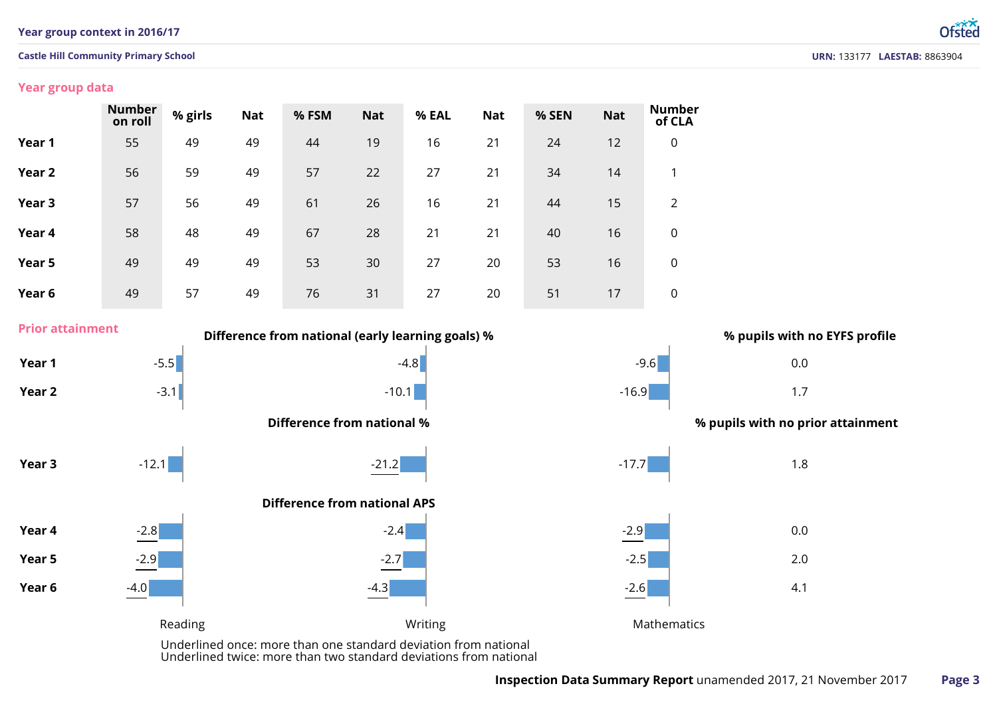### **Year group context in 2016/17**

### **Castle Hill Community Primary School**

## **Year group data**

**Prior attainment**

|                   | <b>Number</b><br>on roll | % girls | <b>Nat</b> | % FSM | <b>Nat</b> | % EAL | <b>Nat</b> | % SEN | <b>Nat</b> | <b>Number</b><br>of CLA |
|-------------------|--------------------------|---------|------------|-------|------------|-------|------------|-------|------------|-------------------------|
| Year 1            | 55                       | 49      | 49         | 44    | 19         | 16    | 21         | 24    | 12         | $\mathbf 0$             |
| Year <sub>2</sub> | 56                       | 59      | 49         | 57    | 22         | 27    | 21         | 34    | 14         | 1                       |
| Year 3            | 57                       | 56      | 49         | 61    | 26         | 16    | 21         | 44    | 15         | 2                       |
| Year 4            | 58                       | 48      | 49         | 67    | 28         | 21    | 21         | 40    | 16         | $\mathbf 0$             |
| Year 5            | 49                       | 49      | 49         | 53    | 30         | 27    | 20         | 53    | 16         | $\mathbf 0$             |
| Year 6            | 49                       | 57      | 49         | 76    | 31         | 27    | 20         | 51    | 17         | 0                       |



Underlined twice: more than two standard deviations from national

Ntsted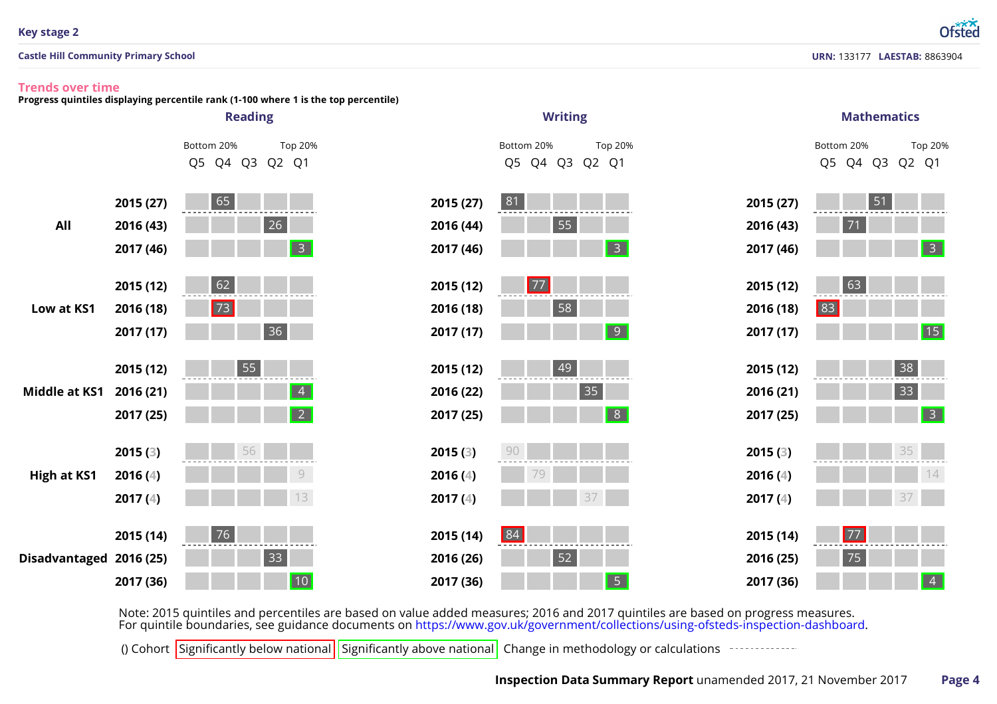### **Key stage 2**

**Castle Hill Community Primary School**

# **URN:** 133177 **LAESTAB:** 8863904

Ofsted

### **Trends over time**

**Progress quintiles displaying percentile rank (1-100 where 1 is the top percentile)**



Note: 2015 quintiles and percentiles are based on value added measures; 2016 and 2017 quintiles are based on progress measures.<br>For quintile boundaries, see guidance documents on https://www.gov.uk/government/collections/u

() Cohort Significantly below national Significantly above national Change in methodology or calculations  $\frac{1}{2}$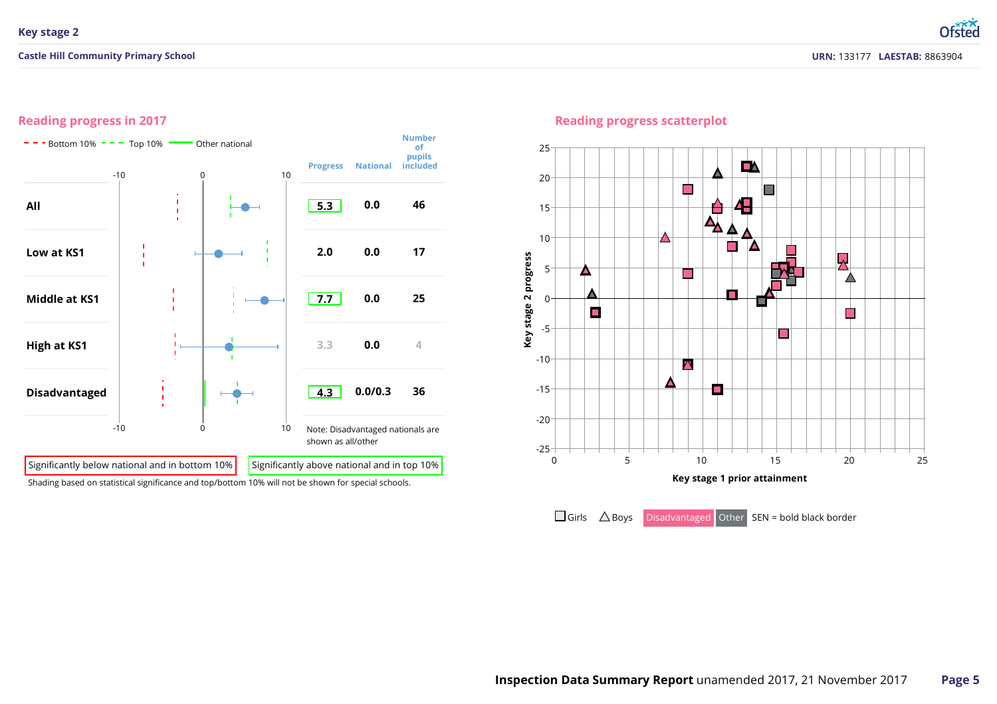# **Reading progress in 2017**



Shading based on statistical significance and top/bottom 10% will not be shown for special schools.

## **Reading progress scatterplot**

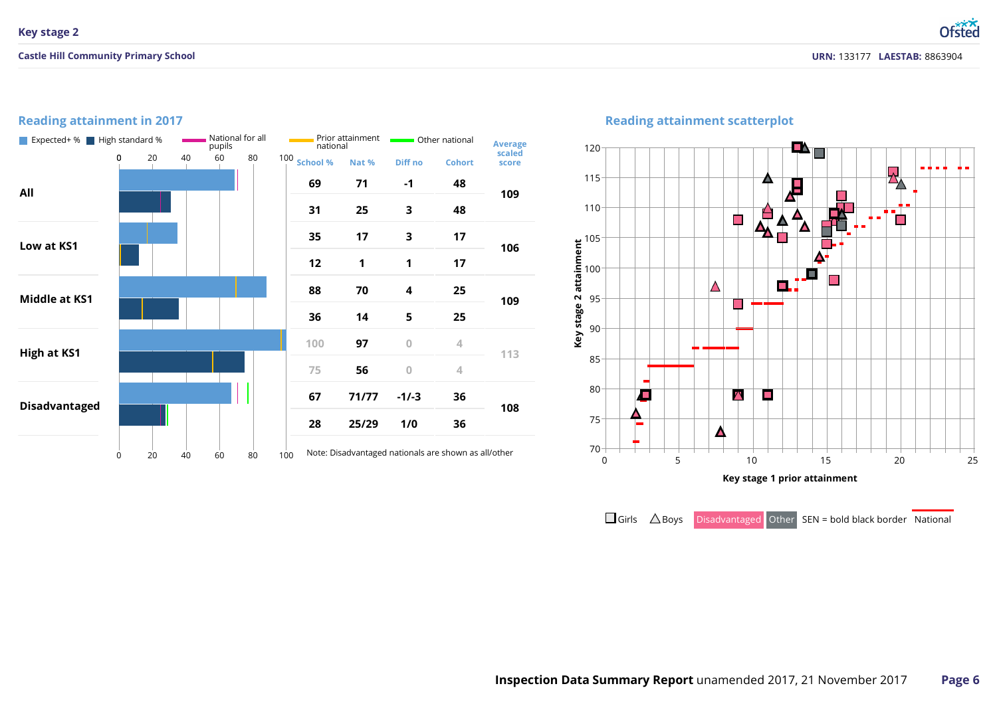**URN:** 133177 **LAESTAB:** 8863904

Ofsted

# **Reading attainment in 2017**



# **Reading attainment scatterplot**



 $\Box$  Girls  $\triangle$  Boys Disadvantaged Other SEN = bold black border National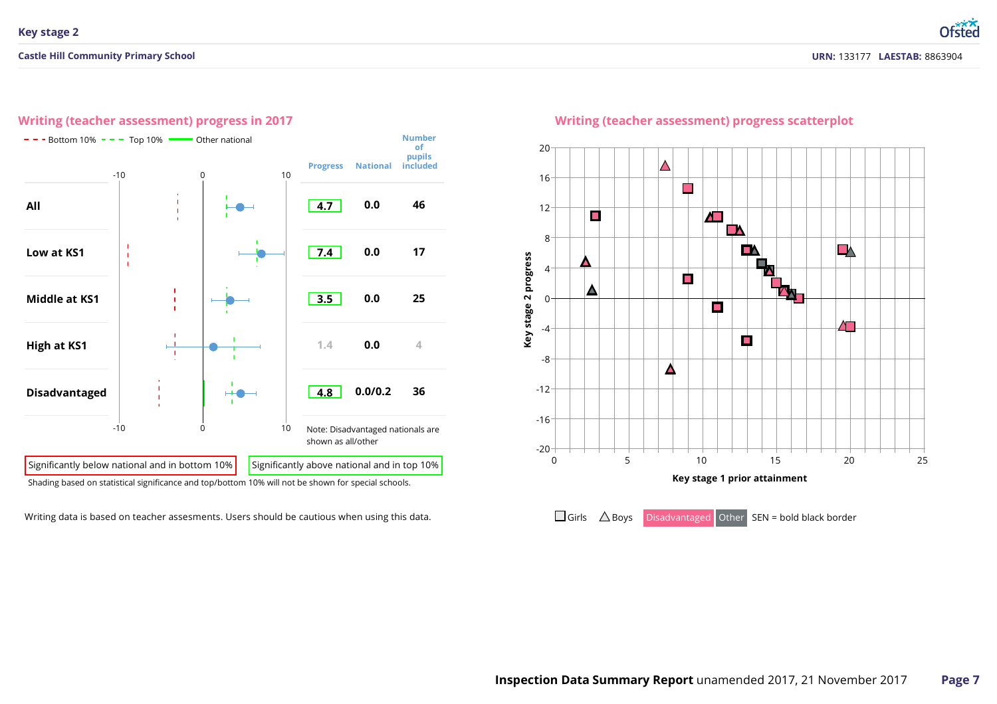Otsted



**Writing (teacher assessment) progress in 2017**

Writing data is based on teacher assesments. Users should be cautious when using this data.



# **Writing (teacher assessment) progress scatterplot**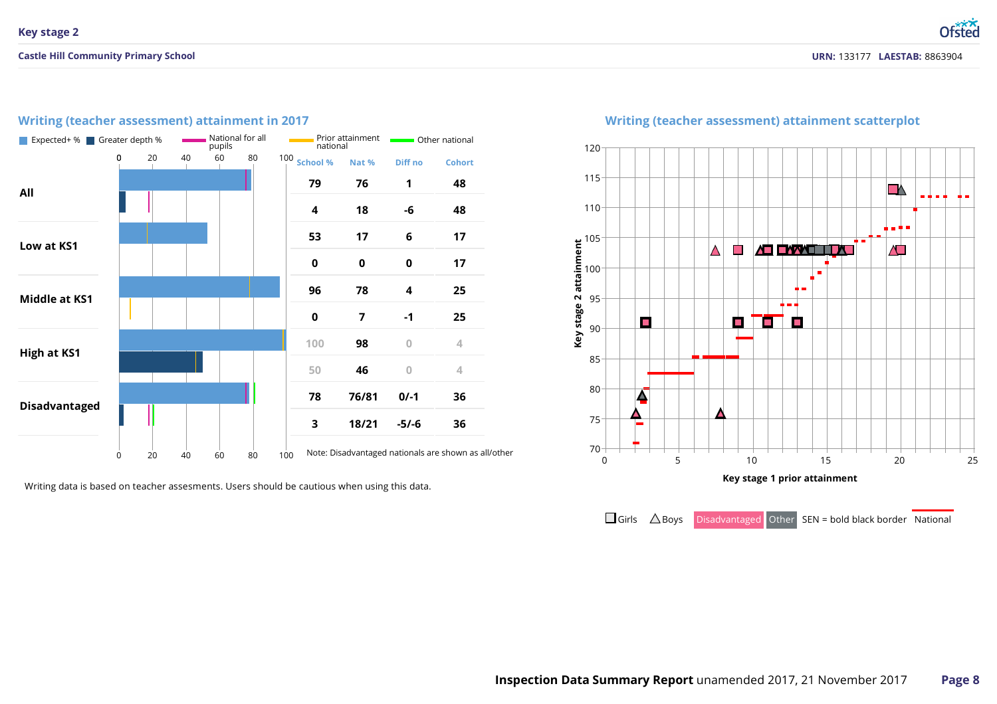#### **School % All Low atKS1 Middle at KS1 High at KS1 Disadvantaged Nat % 76/81 18/21 Diff no -6 -1 0/-1 -5/-6 Cohort** Note: Disadvantaged nationals are shown as all/other Expected+ % Greater depth % National for all<br>pupils pupils Prior attainment national other national national

**Writing (teacher assessment) attainment in 2017**

Writing data is based on teacher assesments. Users should be cautious when using this data.



# **Writing (teacher assessment) attainment scatterplot**

 $\Box$  Girls  $\triangle$  Boys Disadvantaged Other SEN = bold black border National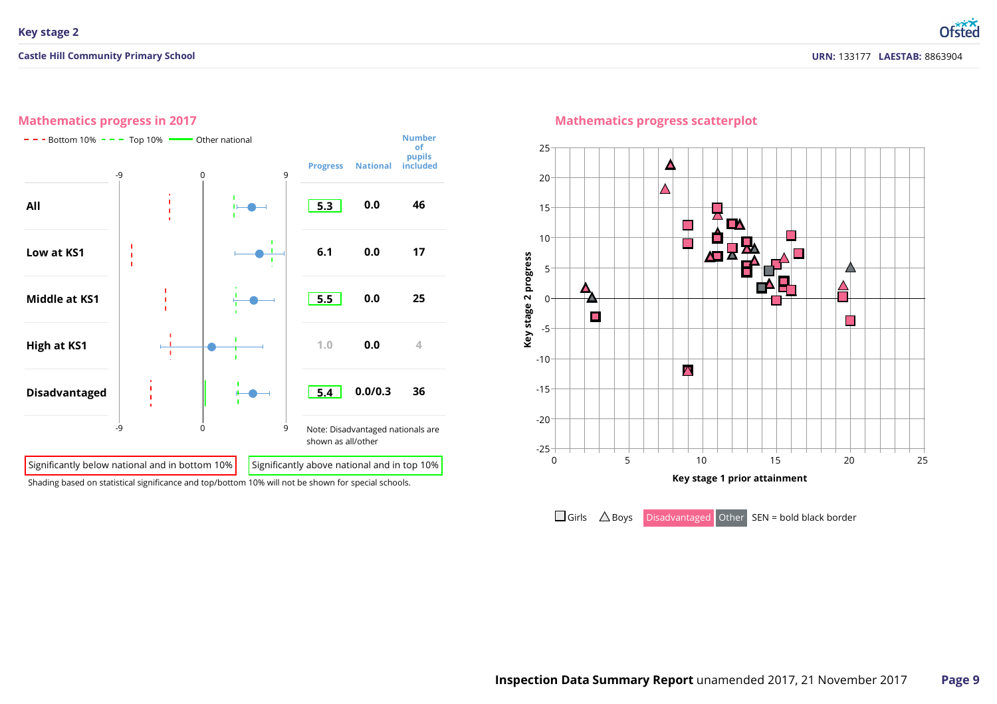# **Mathematics progress in 2017**



### **Mathematics progress scatterplot**

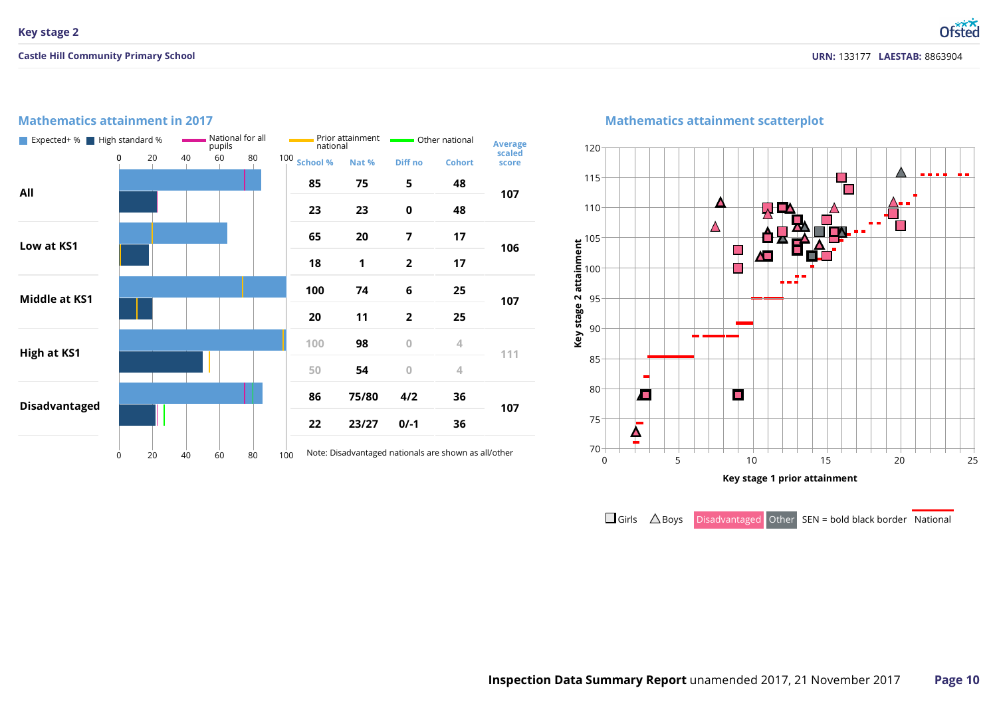# **Mathematics attainment in 2017**

| Expected+ %   High standard % |             |    |    | pupils | National for all |     | national     | Prior attainment | Other national | <b>Average</b>                                       |                 |  |
|-------------------------------|-------------|----|----|--------|------------------|-----|--------------|------------------|----------------|------------------------------------------------------|-----------------|--|
|                               | $\mathbf 0$ | 20 | 40 | 60     | 80               |     | 100 School % | Nat %            | Diff no        | <b>Cohort</b>                                        | scaled<br>score |  |
| All                           |             |    |    |        |                  |     | 85           | 75               | 5              | 48                                                   | 107             |  |
|                               |             |    |    |        |                  |     | 23           | 23               | $\mathbf 0$    | 48                                                   |                 |  |
| Low at KS1                    |             |    |    |        |                  |     | 65           | 20               | 7              | 17                                                   | 106             |  |
|                               |             |    |    |        |                  |     | 18           | 1                | $\overline{2}$ | 17                                                   |                 |  |
| <b>Middle at KS1</b>          |             |    |    |        |                  |     | 100          | 74               | 6              | 25                                                   | 107             |  |
|                               |             |    |    |        |                  |     | 20           | 11               | $\overline{2}$ | 25                                                   |                 |  |
| <b>High at KS1</b>            |             |    |    |        |                  |     | 100          | 98               | $\overline{0}$ | 4                                                    | 111             |  |
|                               |             |    |    |        |                  |     | 50           | 54               | $\overline{0}$ | 4                                                    |                 |  |
| <b>Disadvantaged</b>          |             |    |    |        |                  |     | 86           | 75/80            | 4/2            | 36                                                   | 107             |  |
|                               |             |    |    |        |                  |     | 22           | 23/27            | $0/-1$         | 36                                                   |                 |  |
|                               | 0           | 20 | 40 | 60     | 80               | 100 |              |                  |                | Note: Disadvantaged nationals are shown as all/other |                 |  |

# **Mathematics attainment scatterplot**



 $\Box$  Girls  $\triangle$  Boys Disadvantaged Other SEN = bold black border National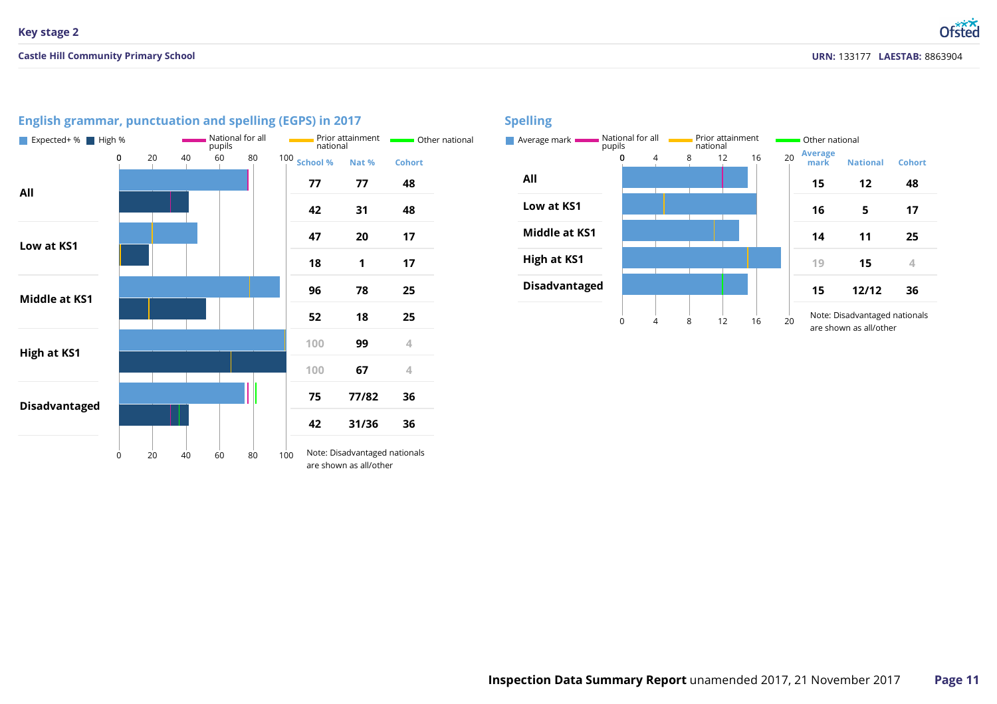| Expected+ % High %   |   |                |    | pupils | National for all |     | national       | Prior attainment                                        | Other r       |  |
|----------------------|---|----------------|----|--------|------------------|-----|----------------|---------------------------------------------------------|---------------|--|
|                      | 0 | 20             | 40 | 60     | 80               |     | $100$ School % | Nat %                                                   | <b>Cohort</b> |  |
| All                  |   |                |    |        |                  |     | 77             | 77                                                      | 48            |  |
|                      |   |                |    |        |                  |     | 42             | 31                                                      | 48            |  |
| Low at KS1           |   |                |    |        |                  |     | 47             | 20                                                      | 17            |  |
|                      |   | 18<br>96<br>52 |    | 1      | 17               |     |                |                                                         |               |  |
| Middle at KS1        |   |                |    |        |                  |     |                | 78                                                      | 25            |  |
|                      |   |                |    |        |                  |     |                | 18                                                      | 25            |  |
| <b>High at KS1</b>   |   |                |    |        |                  |     | 100            | 99                                                      | 4             |  |
|                      |   |                |    |        |                  |     | 100            | 67                                                      | 4             |  |
| <b>Disadvantaged</b> |   |                |    |        |                  |     | 75             | 77/82                                                   | 36            |  |
|                      |   |                |    |        |                  |     | 42             | 31/36                                                   | 36            |  |
|                      | 0 | 20             | 40 | 60     | 80               | 100 |                | Note: Disadvantaged nationals<br>are shown as all/other |               |  |

# **English grammar, punctuation and spelling (EGPS) in 2017**

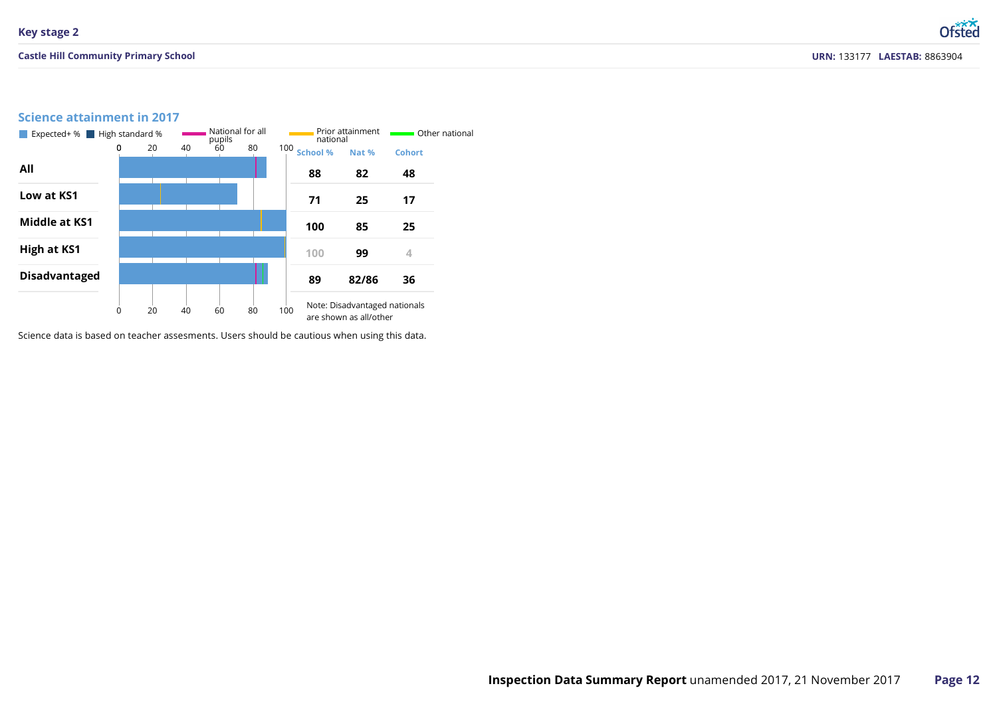### **Castle Hill Community Primary School**

Ofsted

# **Science attainment in 2017**



Science data is based on teacher assesments. Users should be cautious when using this data.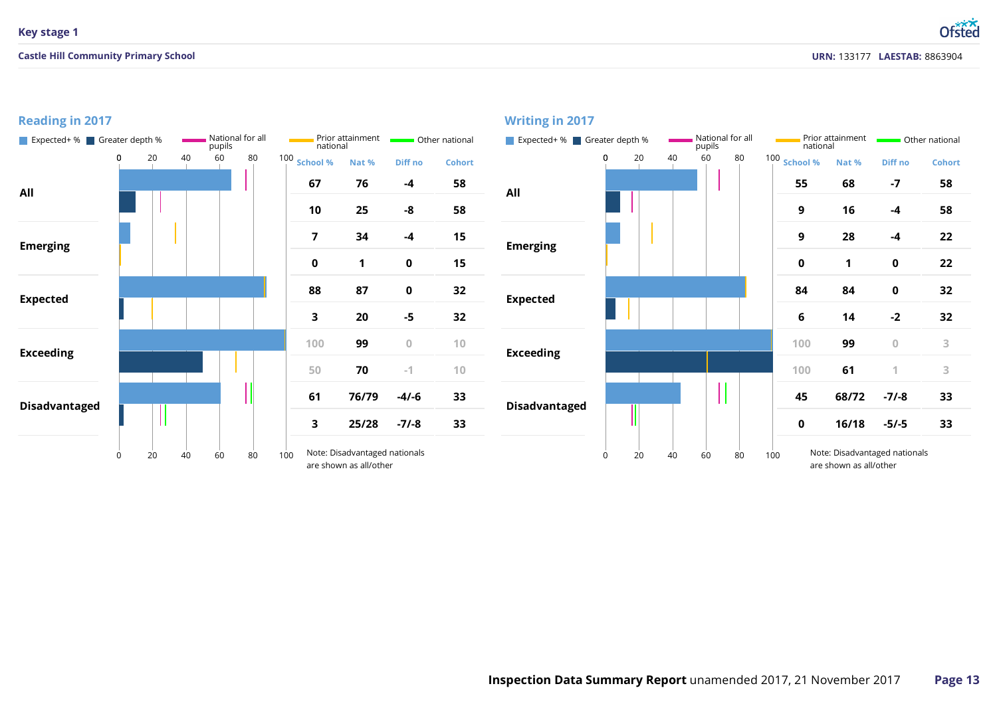# **Key stage 1**

**Reading in 2017**

### **Castle Hill Community Primary School**

**URN:** 133177 **LAESTAB:** 8863904

**Ofsted** 

#### **Nat % Diff no -4 -8 Cohort All** National for all **national Prior attainment national Communist** Expected+ % Greater depth % National for all pupils<br>pupils national national **Writing in 2017**

|                      | Expected+ % Greater depth % |    |    | pupils | National for all |     | national                | Prior attainment                                        |             | Other national | Expected+ % Greater de |   |  |
|----------------------|-----------------------------|----|----|--------|------------------|-----|-------------------------|---------------------------------------------------------|-------------|----------------|------------------------|---|--|
|                      | 0                           | 20 | 40 | 60     | 80               |     | 100 School %            | Nat %                                                   | Diff no     | <b>Cohort</b>  |                        | 0 |  |
| All                  |                             |    |    |        |                  |     | 67                      | 76                                                      | $-4$        | 58             | All                    |   |  |
|                      |                             |    |    |        |                  |     | 10                      | 25                                                      | -8          | 58             |                        |   |  |
| <b>Emerging</b>      |                             |    |    |        |                  |     | $\overline{\mathbf{z}}$ | 34                                                      | $-4$        | 15             | <b>Emerging</b>        |   |  |
|                      |                             |    |    |        |                  |     | $\mathbf 0$             | 1                                                       | $\pmb{0}$   | 15             |                        |   |  |
| <b>Expected</b>      |                             |    |    |        |                  |     | 88                      | 87                                                      | $\pmb{0}$   | 32             | <b>Expected</b>        |   |  |
|                      |                             |    |    |        |                  |     | 3                       | 20                                                      | $-5$        | 32             |                        |   |  |
| <b>Exceeding</b>     |                             |    |    |        |                  |     | 100                     | 99                                                      | $\mathbf 0$ | 10             | <b>Exceeding</b>       |   |  |
|                      |                             |    |    |        |                  |     | 50                      | 70                                                      | $-1$        | 10             |                        |   |  |
| <b>Disadvantaged</b> |                             |    |    |        |                  |     | 61                      | 76/79                                                   | $-4/ -6$    | 33             | <b>Disadvantaged</b>   |   |  |
|                      |                             |    |    |        |                  |     | 3                       | 25/28                                                   | $-7/ -8$    | 33             |                        |   |  |
|                      | 0                           | 20 | 40 | 60     | 80               | 100 |                         | Note: Disadvantaged nationals<br>are shown as all/other |             |                |                        | 0 |  |

| national                | Prior attainment                                        | <b>C</b> ther national |               |                      | Expected+ % Greater depth % |    |    | National for all<br>pupils |    | national     | Prior attainment       | <b>C</b> Other national       |               |  |
|-------------------------|---------------------------------------------------------|------------------------|---------------|----------------------|-----------------------------|----|----|----------------------------|----|--------------|------------------------|-------------------------------|---------------|--|
| hool %                  | Nat %                                                   | Diff no                | <b>Cohort</b> |                      | 0                           | 20 | 40 | 60                         | 80 | 100 School % | Nat %                  | Diff no                       | <b>Cohort</b> |  |
| 67                      | 76                                                      | -4                     | 58            | All                  |                             |    |    |                            |    | 55           | 68                     | $-7$                          | 58            |  |
| 10                      | 25                                                      | $-8$                   | 58            |                      |                             |    |    |                            |    | 9            | 16                     | $-4$                          | 58            |  |
| $\overline{7}$          | 34                                                      | $-4$                   | 15            | <b>Emerging</b>      |                             |    |    |                            |    | 9            | 28                     | $-4$                          | 22            |  |
| $\mathbf 0$             | 1                                                       | $\pmb{0}$              | 15            |                      |                             |    |    |                            |    | $\mathbf 0$  | 1                      | 0                             | 22            |  |
| 88                      | 87                                                      | $\pmb{0}$              | 32            | <b>Expected</b>      |                             |    |    |                            |    | 84           | 84                     | 0                             | 32            |  |
| $\overline{\mathbf{3}}$ | 20                                                      | $-5$                   | 32            |                      |                             |    |    |                            |    | 6            | 14                     | $-2$                          | 32            |  |
| 100                     | 99                                                      | $\mathbf{0}$           | 10            | <b>Exceeding</b>     |                             |    |    |                            |    | 100          | 99                     | $\boldsymbol{0}$              | 3             |  |
| 50                      | 70                                                      | $-1$                   | 10            |                      |                             |    |    |                            |    | 100          | 61                     | 1                             | 3             |  |
| 61                      | 76/79                                                   | $-4/-6$                | 33            | <b>Disadvantaged</b> |                             |    |    |                            |    | 45           | 68/72                  | $-7/ -8$                      | 33            |  |
| $\overline{\mathbf{3}}$ | 25/28                                                   | $-7/-8$                | 33            |                      |                             |    |    |                            |    | $\mathbf 0$  | 16/18                  | $-5/-5$                       | 33            |  |
|                         | Note: Disadvantaged nationals<br>are shown as all/other |                        |               |                      | 0                           | 20 | 40 | 60                         | 80 | 100          | are shown as all/other | Note: Disadvantaged nationals |               |  |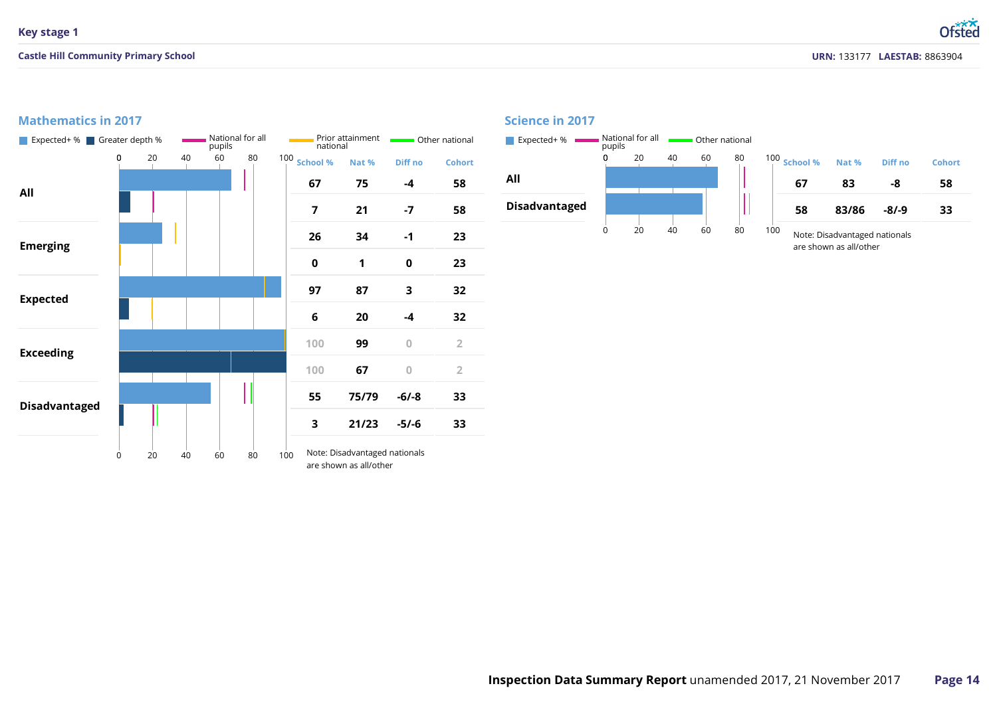### **Castle Hill Community Primary School**

Ofsted

# **Mathematics in 2017**

| Expected+ % Greater depth % |   |   |    |    | pupils | National for all | national     | Prior attainment                                        | Other national |                | Expected+ %          | pupils | National for all |    | Other national |     |
|-----------------------------|---|---|----|----|--------|------------------|--------------|---------------------------------------------------------|----------------|----------------|----------------------|--------|------------------|----|----------------|-----|
|                             |   | 0 | 20 | 40 | 60     | 80               | 100 School % | Nat %                                                   | Diff no        | <b>Cohort</b>  |                      |        | 20               | 40 | 60             | 80  |
| All                         |   |   |    |    |        |                  | 67           | 75                                                      | $-4$           | 58             | All                  |        |                  |    |                |     |
|                             |   |   |    |    |        |                  | 7            | 21                                                      | $-7$           | 58             | <b>Disadvantaged</b> |        |                  |    |                | . . |
| <b>Emerging</b>             |   |   |    |    |        |                  | 26           | 34                                                      | $-1$           | 23             |                      |        | 20               | 40 | 60             | 80  |
|                             |   |   |    |    |        |                  | 0            | $\mathbf{1}$                                            | $\pmb{0}$      | 23             |                      |        |                  |    |                |     |
|                             |   |   |    |    |        |                  | 97           | 87                                                      | 3              | 32             |                      |        |                  |    |                |     |
| <b>Expected</b>             |   |   |    |    |        |                  | 6            | 20                                                      | $-4$           | 32             |                      |        |                  |    |                |     |
| <b>Exceeding</b>            |   |   |    |    |        |                  | 100          | 99                                                      | $\overline{0}$ | $\overline{2}$ |                      |        |                  |    |                |     |
|                             |   |   |    |    |        |                  | 100          | 67                                                      | $\bf 0$        | $\overline{2}$ |                      |        |                  |    |                |     |
| <b>Disadvantaged</b>        |   |   |    |    |        |                  | 55           | 75/79                                                   | $-6/-8$        | 33             |                      |        |                  |    |                |     |
|                             |   |   |    |    |        |                  | 3            | 21/23                                                   | $-5/-6$        | 33             |                      |        |                  |    |                |     |
|                             | 0 |   | 20 | 40 | 60     | 80               | 100          | Note: Disadvantaged nationals<br>are shown as all/other |                |                |                      |        |                  |    |                |     |

### **Science in 2017**